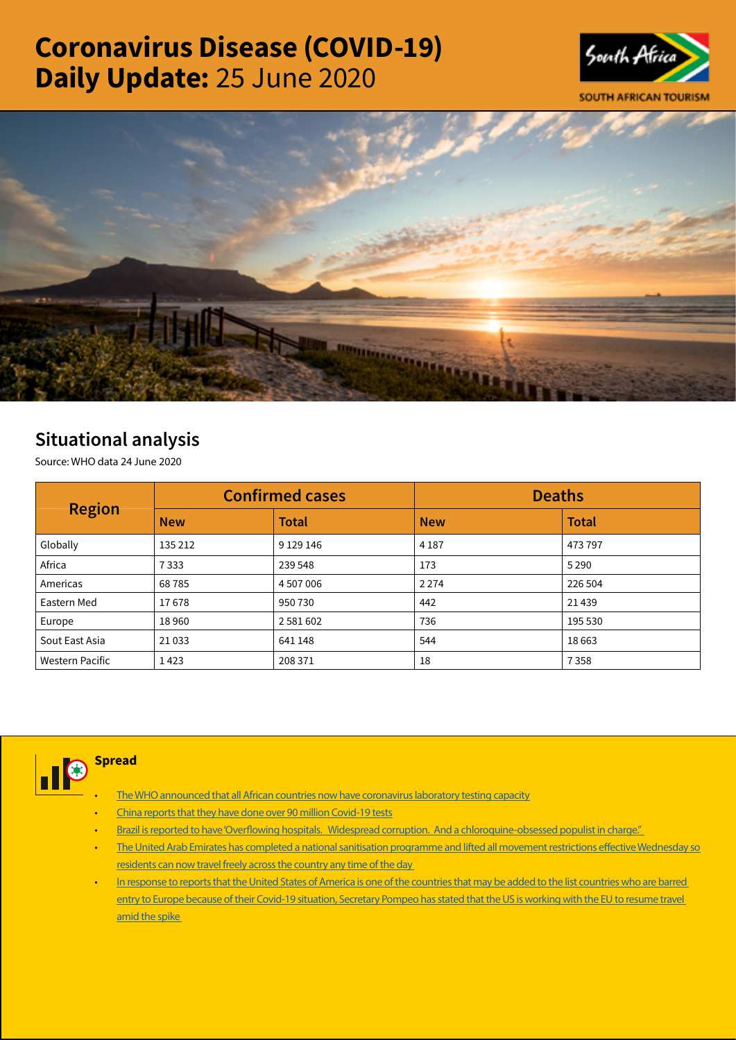# Coronavirus Disease (COVID-19) Daily Update: 25 June 2020





## Situational analysis

Source: WHO data 24 June 2020

| <b>Region</b>          |            | <b>Confirmed cases</b> | <b>Deaths</b> |              |  |
|------------------------|------------|------------------------|---------------|--------------|--|
|                        | <b>New</b> | <b>Total</b>           | <b>New</b>    | <b>Total</b> |  |
| Globally               | 135 212    | 9 1 29 146             | 4 1 8 7       | 473 797      |  |
| Africa                 | 7333       | 239 548                | 173           | 5 2 9 0      |  |
| Americas               | 68785      | 4 507 006              | 2 2 7 4       | 226 504      |  |
| Eastern Med            | 17678      | 950 730                | 442           | 21439        |  |
| Europe                 | 18960      | 2 5 8 1 6 0 2          | 736           | 195 530      |  |
| Sout East Asia         | 21033      | 641 148                | 544           | 18663        |  |
| <b>Western Pacific</b> | 1423       | 208 371                | 18            | 7358         |  |



### **Spread**

- [The WHO announced that all African countries now have coronavirus laboratory testing capacity](https://t.co/jE9KSbXiFX?amp=1)
- [China reports that they have done over 90 million Covid-19 tests](https://t.co/DiBOIequNo?amp=1)
- Brazil is reported to have 'Overflowing hospitals. Widespread corruption. And a chloroquine-obsessed populist in charge."
- [The United Arab Emirates has completed a national sanitisation programme and lifted all movement restrictions effective Wednesday so](https://is.gd/EjITNv)  [residents can now travel freely across the country any time of the day](https://is.gd/EjITNv)
- In response to reports that the United States of America is one of the countries that may be added to the list countries who are barred [entry to Europe because of their Covid-19 situation, Secretary Pompeo has stated that the US is working with the EU to resume travel](https://t.co/TCDkVDkvu7?amp=1)  [amid the spike](https://t.co/TCDkVDkvu7?amp=1)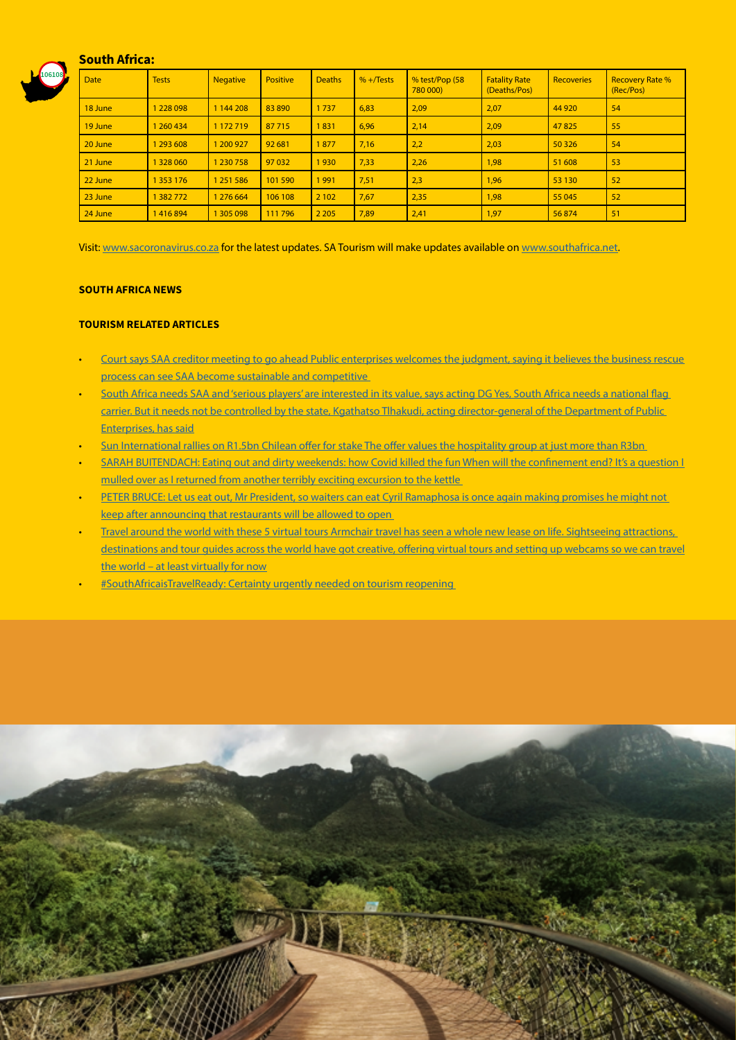

#### South Africa:

| <b>Date</b> | <b>Tests</b>  | <b>Negative</b> | <b>Positive</b> | <b>Deaths</b> | $% +$ Tests | % test/Pop (58<br>780 000) | <b>Fatality Rate</b><br>(Deaths/Pos) | <b>Recoveries</b> | <b>Recovery Rate %</b><br>(Rec/Pos) |
|-------------|---------------|-----------------|-----------------|---------------|-------------|----------------------------|--------------------------------------|-------------------|-------------------------------------|
| 18 June     | 1 228 098     | 1 144 208       | 83 890          | 1737          | 6,83        | 2,09                       | 2,07                                 | 44 9 20           | 54                                  |
| 19 June     | 1 260 434     | 1 172 719       | 87715           | 1831          | 6,96        | 2,14                       | 2,09                                 | 47825             | 55                                  |
| 20 June     | 1 293 608     | 1 200 927       | 92 681          | 1877          | 7,16        | 2,2                        | 2,03                                 | 50 3 26           | 54                                  |
| 21 June     | 1 328 060     | 1 230 758       | 97 032          | 1930          | 7,33        | 2,26                       | 1,98                                 | 51 608            | 53                                  |
| 22 June     | 1 3 5 3 1 7 6 | 1 251 586       | 101590          | 1991          | 7,51        | 2,3                        | 1,96                                 | 53 130            | 52                                  |
| 23 June     | 1382772       | 1 276 664       | 106 108         | 2 1 0 2       | 7,67        | 2,35                       | 1,98                                 | 55 045            | 52                                  |
| 24 June     | 1416894       | 1 305 098       | 111796          | 2 2 0 5       | 7,89        | 2,41                       | 1,97                                 | 56874             | 51                                  |

Visit: [www.sacoronavirus.co.za](http://www.sacoronavirus.co.za) for the latest updates. SA Tourism will make updates available on [www.southafrica.net.](http://www.southafrica.net)

#### SOUTH AFRICA NEWS

#### TOURISM RELATED ARTICLES

- [Court says SAA creditor meeting to go ahead Public enterprises welcomes the judgment, saying it believes the business rescue](https://www.businesslive.co.za/bd/national/court-says-saa-creditor-meeting-to-go-ahead/)  [process can see SAA become sustainable and competitive](https://www.businesslive.co.za/bd/national/court-says-saa-creditor-meeting-to-go-ahead/)
- South Africa needs SAA and 'serious players' are interested in its value, says acting DG Yes, South Africa needs a national flag [carrier. But it needs not be controlled by the state, Kgathatso Tlhakudi, acting director-general of the Department of Public](https://www.news24.com/fin24/companies/industrial/south-africa-needs-saa-and-serious-players-are-interested-in-its-value-says-acting-dg-20200625)  [Enterprises, has said](https://www.news24.com/fin24/companies/industrial/south-africa-needs-saa-and-serious-players-are-interested-in-its-value-says-acting-dg-20200625)
- [Sun International rallies on R1.5bn Chilean offer for stake The offer values the hospitality group at just more than R3bn](https://www.businesslive.co.za/bd/companies/transport-and-tourism/2020-06-24-sun-international-rallies-on-r15bn-chilean-offer-for-stake/)
- [SARAH BUITENDACH: Eating out and dirty weekends: how Covid killed the fun When will the confinement end? It's a question I](https://www.businesslive.co.za/fm/opinion/2020-06-24-sarah-buitendach-eating-out-and-dirty-weekends-how-covid-killed-the-fun/)  [mulled over as I returned from another terribly exciting excursion to the kettle](https://www.businesslive.co.za/fm/opinion/2020-06-24-sarah-buitendach-eating-out-and-dirty-weekends-how-covid-killed-the-fun/)
- PETER BRUCE: Let us eat out, Mr President, so waiters can eat Cyril Ramaphosa is once again making promises he might not [keep after announcing that restaurants will be allowed to open](https://www.businesslive.co.za/bd/opinion/editorials/2020-06-24-peter-bruce-let-us-eat-out-mr-president-so-waiters-can-eat/)
- Travel around the world with these 5 virtual tours Armchair travel has seen a whole new lease on life. Sightseeing attractions, [destinations and tour guides across the world have got creative, offering virtual tours and setting up webcams so we can travel](https://www.iol.co.za/travel/travel-tips/travel-around-the-world-with-these-5-virtual-tours-49848832) [the world – at least virtually for now](https://www.iol.co.za/travel/travel-tips/travel-around-the-world-with-these-5-virtual-tours-49848832)
- [#SouthAfricaisTravelReady: Certainty urgently needed on tourism reopening](http://www.tourismupdate.co.za/article/199686/SouthAfricaisTravelReady-Certainty-urgently-needed-on-tourism-reopening)